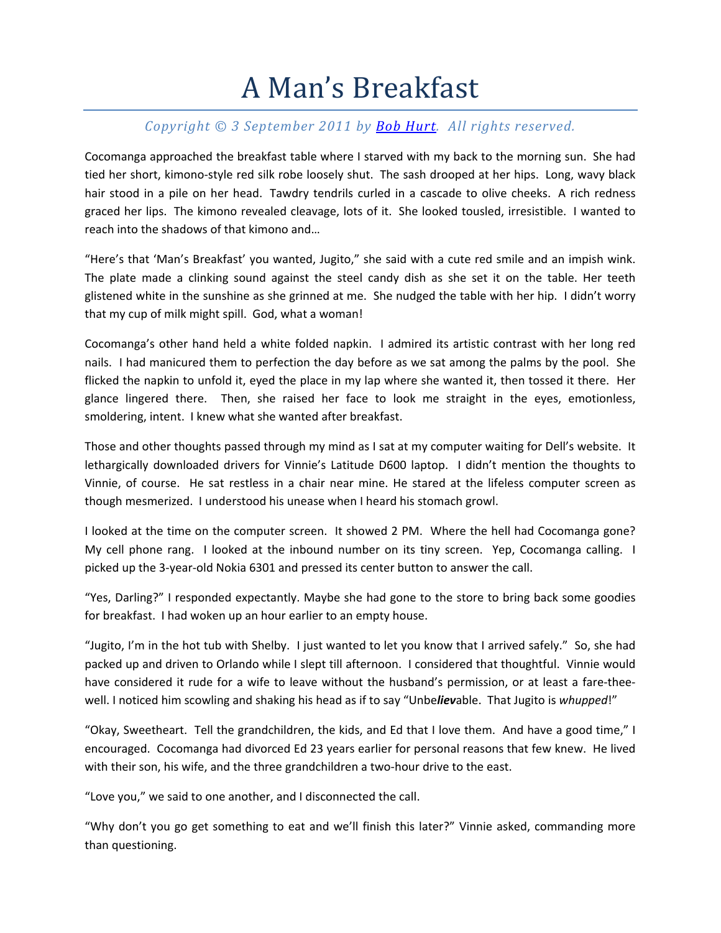## A Man's Breakfast

## *Copyright © 3 September 2011 by Bob Hurt. All rights reserved.*

Cocomanga approached the breakfast table where I starved with my back to the morning sun. She had tied her short, kimono‐style red silk robe loosely shut. The sash drooped at her hips. Long, wavy black hair stood in a pile on her head. Tawdry tendrils curled in a cascade to olive cheeks. A rich redness graced her lips. The kimono revealed cleavage, lots of it. She looked tousled, irresistible. I wanted to reach into the shadows of that kimono and…

"Here's that 'Man's Breakfast' you wanted, Jugito," she said with a cute red smile and an impish wink. The plate made a clinking sound against the steel candy dish as she set it on the table. Her teeth glistened white in the sunshine as she grinned at me. She nudged the table with her hip. I didn't worry that my cup of milk might spill. God, what a woman!

Cocomanga's other hand held a white folded napkin. I admired its artistic contrast with her long red nails. I had manicured them to perfection the day before as we sat among the palms by the pool. She flicked the napkin to unfold it, eyed the place in my lap where she wanted it, then tossed it there. Her glance lingered there. Then, she raised her face to look me straight in the eyes, emotionless, smoldering, intent. I knew what she wanted after breakfast.

Those and other thoughts passed through my mind as I sat at my computer waiting for Dell's website. It lethargically downloaded drivers for Vinnie's Latitude D600 laptop. I didn't mention the thoughts to Vinnie, of course. He sat restless in a chair near mine. He stared at the lifeless computer screen as though mesmerized. I understood his unease when I heard his stomach growl.

I looked at the time on the computer screen. It showed 2 PM. Where the hell had Cocomanga gone? My cell phone rang. I looked at the inbound number on its tiny screen. Yep, Cocomanga calling. I picked up the 3‐year‐old Nokia 6301 and pressed its center button to answer the call.

"Yes, Darling?" I responded expectantly. Maybe she had gone to the store to bring back some goodies for breakfast. I had woken up an hour earlier to an empty house.

"Jugito, I'm in the hot tub with Shelby. I just wanted to let you know that I arrived safely." So, she had packed up and driven to Orlando while I slept till afternoon. I considered that thoughtful. Vinnie would have considered it rude for a wife to leave without the husband's permission, or at least a fare-theewell. I noticed him scowling and shaking his head as if to say "Unbe*liev*able. That Jugito is *whupped*!"

"Okay, Sweetheart. Tell the grandchildren, the kids, and Ed that I love them. And have a good time," I encouraged. Cocomanga had divorced Ed 23 years earlier for personal reasons that few knew. He lived with their son, his wife, and the three grandchildren a two-hour drive to the east.

"Love you," we said to one another, and I disconnected the call.

"Why don't you go get something to eat and we'll finish this later?" Vinnie asked, commanding more than questioning.